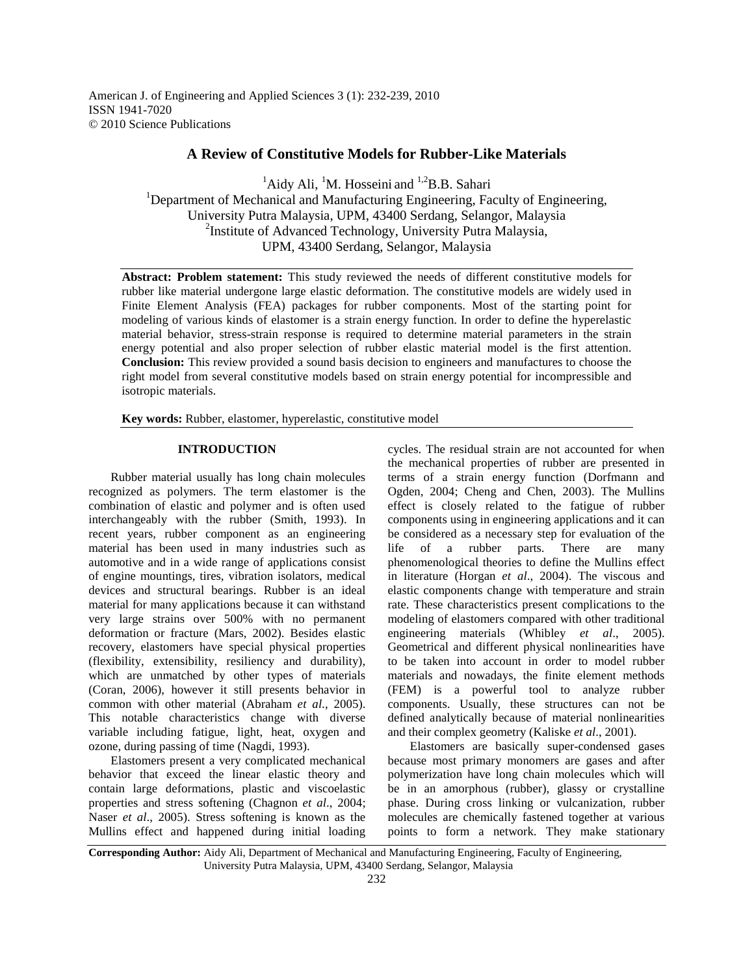American J. of Engineering and Applied Sciences 3 (1): 232-239, 2010 ISSN 1941-7020 © 2010 Science Publications

## **A Review of Constitutive Models for Rubber-Like Materials**

 ${}^{1}$ Aidy Ali,  ${}^{1}$ M. Hosseini and  ${}^{1,2}$ B.B. Sahari <sup>1</sup>Department of Mechanical and Manufacturing Engineering, Faculty of Engineering, University Putra Malaysia, UPM, 43400 Serdang, Selangor, Malaysia <sup>2</sup>Institute of Advanced Technology, University Putra Malaysia, UPM, 43400 Serdang, Selangor, Malaysia

**Abstract: Problem statement:** This study reviewed the needs of different constitutive models for rubber like material undergone large elastic deformation. The constitutive models are widely used in Finite Element Analysis (FEA) packages for rubber components. Most of the starting point for modeling of various kinds of elastomer is a strain energy function. In order to define the hyperelastic material behavior, stress-strain response is required to determine material parameters in the strain energy potential and also proper selection of rubber elastic material model is the first attention. **Conclusion:** This review provided a sound basis decision to engineers and manufactures to choose the right model from several constitutive models based on strain energy potential for incompressible and isotropic materials.

**Key words:** Rubber, elastomer, hyperelastic, constitutive model

## **INTRODUCTION**

 Rubber material usually has long chain molecules recognized as polymers. The term elastomer is the combination of elastic and polymer and is often used interchangeably with the rubber (Smith, 1993). In recent years, rubber component as an engineering material has been used in many industries such as automotive and in a wide range of applications consist of engine mountings, tires, vibration isolators, medical devices and structural bearings. Rubber is an ideal material for many applications because it can withstand very large strains over 500% with no permanent deformation or fracture (Mars, 2002). Besides elastic recovery, elastomers have special physical properties (flexibility, extensibility, resiliency and durability), which are unmatched by other types of materials (Coran, 2006), however it still presents behavior in common with other material (Abraham *et al*., 2005). This notable characteristics change with diverse variable including fatigue, light, heat, oxygen and ozone, during passing of time (Nagdi, 1993).

 Elastomers present a very complicated mechanical behavior that exceed the linear elastic theory and contain large deformations, plastic and viscoelastic properties and stress softening (Chagnon *et al*., 2004; Naser *et al*., 2005). Stress softening is known as the Mullins effect and happened during initial loading

cycles. The residual strain are not accounted for when the mechanical properties of rubber are presented in terms of a strain energy function (Dorfmann and Ogden, 2004; Cheng and Chen, 2003). The Mullins effect is closely related to the fatigue of rubber components using in engineering applications and it can be considered as a necessary step for evaluation of the life of a rubber parts. There are many life of a rubber parts. There are many phenomenological theories to define the Mullins effect in literature (Horgan *et al*., 2004). The viscous and elastic components change with temperature and strain rate. These characteristics present complications to the modeling of elastomers compared with other traditional engineering materials (Whibley *et al*., 2005). Geometrical and different physical nonlinearities have to be taken into account in order to model rubber materials and nowadays, the finite element methods (FEM) is a powerful tool to analyze rubber components. Usually, these structures can not be defined analytically because of material nonlinearities and their complex geometry (Kaliske *et al*., 2001).

 Elastomers are basically super-condensed gases because most primary monomers are gases and after polymerization have long chain molecules which will be in an amorphous (rubber), glassy or crystalline phase. During cross linking or vulcanization, rubber molecules are chemically fastened together at various points to form a network. They make stationary

**Corresponding Author:** Aidy Ali, Department of Mechanical and Manufacturing Engineering, Faculty of Engineering, University Putra Malaysia, UPM, 43400 Serdang, Selangor, Malaysia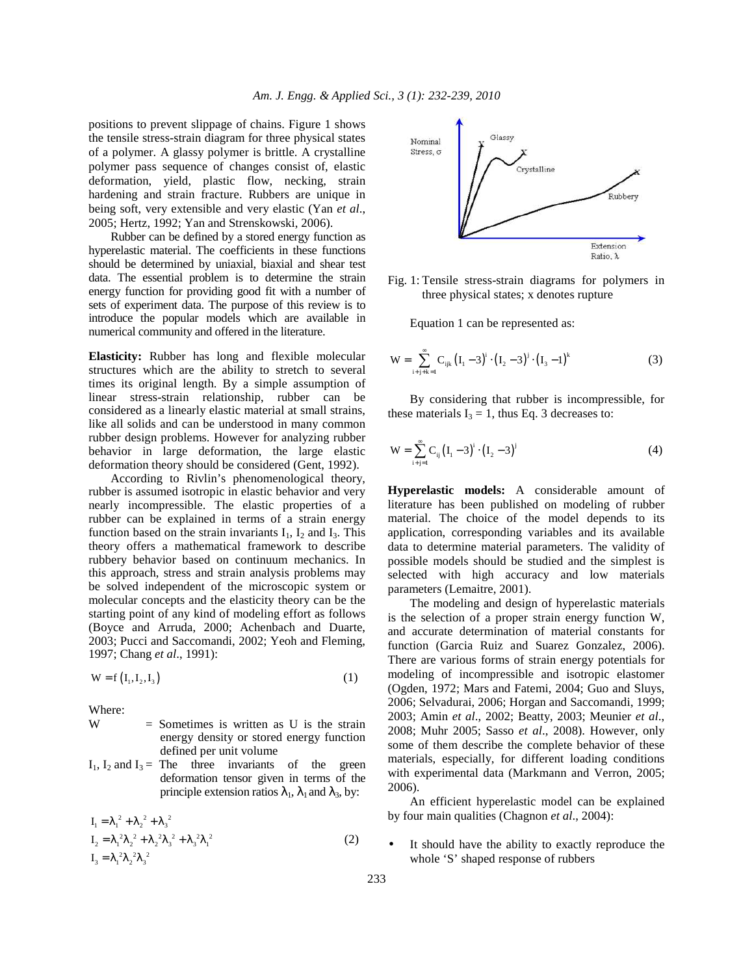positions to prevent slippage of chains. Figure 1 shows the tensile stress-strain diagram for three physical states of a polymer. A glassy polymer is brittle. A crystalline polymer pass sequence of changes consist of, elastic deformation, yield, plastic flow, necking, strain hardening and strain fracture. Rubbers are unique in being soft, very extensible and very elastic (Yan *et al*., 2005; Hertz, 1992; Yan and Strenskowski, 2006).

 Rubber can be defined by a stored energy function as hyperelastic material. The coefficients in these functions should be determined by uniaxial, biaxial and shear test data. The essential problem is to determine the strain energy function for providing good fit with a number of sets of experiment data. The purpose of this review is to introduce the popular models which are available in numerical community and offered in the literature.

**Elasticity:** Rubber has long and flexible molecular structures which are the ability to stretch to several times its original length. By a simple assumption of linear stress-strain relationship, rubber can be considered as a linearly elastic material at small strains, like all solids and can be understood in many common rubber design problems. However for analyzing rubber behavior in large deformation, the large elastic deformation theory should be considered (Gent, 1992).

 According to Rivlin's phenomenological theory, rubber is assumed isotropic in elastic behavior and very nearly incompressible. The elastic properties of a rubber can be explained in terms of a strain energy function based on the strain invariants  $I_1$ ,  $I_2$  and  $I_3$ . This theory offers a mathematical framework to describe rubbery behavior based on continuum mechanics. In this approach, stress and strain analysis problems may be solved independent of the microscopic system or molecular concepts and the elasticity theory can be the starting point of any kind of modeling effort as follows (Boyce and Arruda, 2000; Achenbach and Duarte, 2003; Pucci and Saccomandi, 2002; Yeoh and Fleming, 1997; Chang *et al*., 1991):

$$
W = f\left(I_1, I_2, I_3\right) \tag{1}
$$

Where:

- $W =$  Sometimes is written as U is the strain energy density or stored energy function defined per unit volume
- $I_1$ ,  $I_2$  and  $I_3$  = The three invariants of the green deformation tensor given in terms of the principle extension ratios  $\lambda_1$ ,  $\lambda_1$  and  $\lambda_3$ , by:

$$
I_1 = \lambda_1^2 + \lambda_2^2 + \lambda_3^2
$$
  
\n
$$
I_2 = \lambda_1^2 \lambda_2^2 + \lambda_2^2 \lambda_3^2 + \lambda_3^2 \lambda_1^2
$$
  
\n
$$
I_3 = \lambda_1^2 \lambda_2^2 \lambda_3^2
$$
\n(2)



Fig. 1: Tensile stress-strain diagrams for polymers in three physical states; x denotes rupture

Equation 1 can be represented as:

$$
W = \sum_{i+j+k=1}^{\infty} C_{ijk} (I_1 - 3)^i \cdot (I_2 - 3)^j \cdot (I_3 - 1)^k
$$
 (3)

 By considering that rubber is incompressible, for these materials  $I_3 = 1$ , thus Eq. 3 decreases to:

$$
W = \sum_{i+j=1}^{\infty} C_{ij} (I_1 - 3)^i \cdot (I_2 - 3)^j
$$
 (4)

**Hyperelastic models:** A considerable amount of literature has been published on modeling of rubber material. The choice of the model depends to its application, corresponding variables and its available data to determine material parameters. The validity of possible models should be studied and the simplest is selected with high accuracy and low materials parameters (Lemaitre, 2001).

 The modeling and design of hyperelastic materials is the selection of a proper strain energy function W, and accurate determination of material constants for function (Garcia Ruiz and Suarez Gonzalez, 2006). There are various forms of strain energy potentials for modeling of incompressible and isotropic elastomer (Ogden, 1972; Mars and Fatemi, 2004; Guo and Sluys, 2006; Selvadurai, 2006; Horgan and Saccomandi, 1999; 2003; Amin *et al*., 2002; Beatty, 2003; Meunier *et al*., 2008; Muhr 2005; Sasso *et al*., 2008). However, only some of them describe the complete behavior of these materials, especially, for different loading conditions with experimental data (Markmann and Verron, 2005; 2006).

 An efficient hyperelastic model can be explained by four main qualities (Chagnon *et al*., 2004):

It should have the ability to exactly reproduce the whole 'S' shaped response of rubbers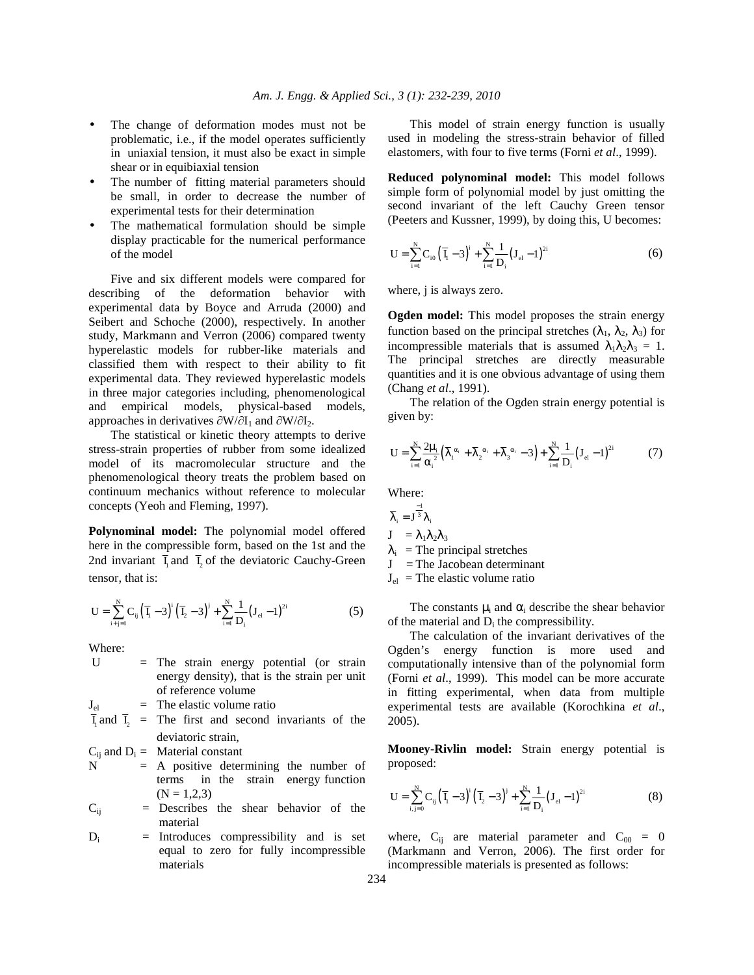- The change of deformation modes must not be problematic, i.e., if the model operates sufficiently in uniaxial tension, it must also be exact in simple shear or in equibiaxial tension
- The number of fitting material parameters should be small, in order to decrease the number of experimental tests for their determination
- The mathematical formulation should be simple display practicable for the numerical performance of the model

 Five and six different models were compared for describing of the deformation behavior with experimental data by Boyce and Arruda (2000) and Seibert and Schoche (2000), respectively. In another study, Markmann and Verron (2006) compared twenty hyperelastic models for rubber-like materials and classified them with respect to their ability to fit experimental data. They reviewed hyperelastic models in three major categories including, phenomenological and empirical models, physical-based models, approaches in derivatives  $\partial W/\partial I_1$  and  $\partial W/\partial I_2$ .

 The statistical or kinetic theory attempts to derive stress-strain properties of rubber from some idealized model of its macromolecular structure and the phenomenological theory treats the problem based on continuum mechanics without reference to molecular concepts (Yeoh and Fleming, 1997).

**Polynominal model:** The polynomial model offered here in the compressible form, based on the 1st and the 2nd invariant  $\overline{I}_1$  and  $\overline{I}_2$  of the deviatoric Cauchy-Green tensor, that is:

$$
U = \sum_{i+j=1}^{N} C_{ij} (\overline{I}_i - 3)^i (\overline{I}_2 - 3)^j + \sum_{i=1}^{N} \frac{1}{D_i} (J_{el} - 1)^{2i}
$$
 (5)

Where:

| $\mathbf{I}$       | $=$ The strain energy potential (or strain                                     |
|--------------------|--------------------------------------------------------------------------------|
|                    | energy density), that is the strain per unit                                   |
|                    | of reference volume                                                            |
| ${\bf J}_{\rm el}$ | $=$ The elastic volume ratio                                                   |
|                    | $\overline{I}_1$ and $\overline{I}_2$ = The first and second invariants of the |
|                    | deviatoric strain,                                                             |
|                    | $C_{ii}$ and $D_i =$ Material constant                                         |
| N                  | $=$ A positive determining the number of                                       |
|                    | terms in the strain energy function                                            |
|                    | $(N = 1.2.3)$                                                                  |
| $\rm C_{\rm ii}$   | $=$ Describes the shear behavior of the                                        |
|                    | material                                                                       |
| D.                 | $=$ Introduces compressibility and is set                                      |

 $D_i$  = Introduces compressibility and is set equal to zero for fully incompressible materials

 This model of strain energy function is usually used in modeling the stress-strain behavior of filled elastomers, with four to five terms (Forni *et al*., 1999).

**Reduced polynominal model:** This model follows simple form of polynomial model by just omitting the second invariant of the left Cauchy Green tensor (Peeters and Kussner, 1999), by doing this, U becomes:

$$
U = \sum_{i=1}^{N} C_{i0} (\overline{I}_i - 3)^i + \sum_{i=1}^{N} \frac{1}{D_i} (J_{el} - 1)^{2i}
$$
 (6)

where, j is always zero.

**Ogden model:** This model proposes the strain energy function based on the principal stretches  $(\lambda_1, \lambda_2, \lambda_3)$  for incompressible materials that is assumed  $\lambda_1 \lambda_2 \lambda_3 = 1$ . The principal stretches are directly measurable quantities and it is one obvious advantage of using them (Chang *et al*., 1991).

 The relation of the Ogden strain energy potential is given by:

$$
U = \sum_{i=1}^{N} \frac{2\mu_i}{\alpha_i^2} (\bar{\lambda}_i^{\alpha_i} + \bar{\lambda}_2^{\alpha_i} + \bar{\lambda}_3^{\alpha_i} - 3) + \sum_{i=1}^{N} \frac{1}{D_i} (J_{el} - 1)^{2i}
$$
(7)

Where:

$$
\overline{\lambda}_i = J^{\frac{-1}{3}} \lambda_i
$$
  
\n
$$
J = \lambda_1 \lambda_2 \lambda_3
$$
  
\n
$$
\lambda_i =
$$
The principal stretches  
\n
$$
J =
$$
The Jacobean determinant  
\n
$$
J_{el} =
$$
The elastic volume ratio

The constants  $\mu_i$  and  $\alpha_i$  describe the shear behavior of the material and  $D_i$  the compressibility.

 The calculation of the invariant derivatives of the Ogden's energy function is more used and computationally intensive than of the polynomial form (Forni *et al*., 1999). This model can be more accurate in fitting experimental, when data from multiple experimental tests are available (Korochkina *et al*., 2005).

**Mooney-Rivlin model:** Strain energy potential is proposed:

$$
U = \sum_{i,j=0}^{N} C_{ij} (\bar{I}_i - 3)^i (\bar{I}_2 - 3)^j + \sum_{i=1}^{N} \frac{1}{D_i} (J_{el} - 1)^{2i}
$$
 (8)

where,  $C_{ii}$  are material parameter and  $C_{00} = 0$ (Markmann and Verron, 2006). The first order for incompressible materials is presented as follows: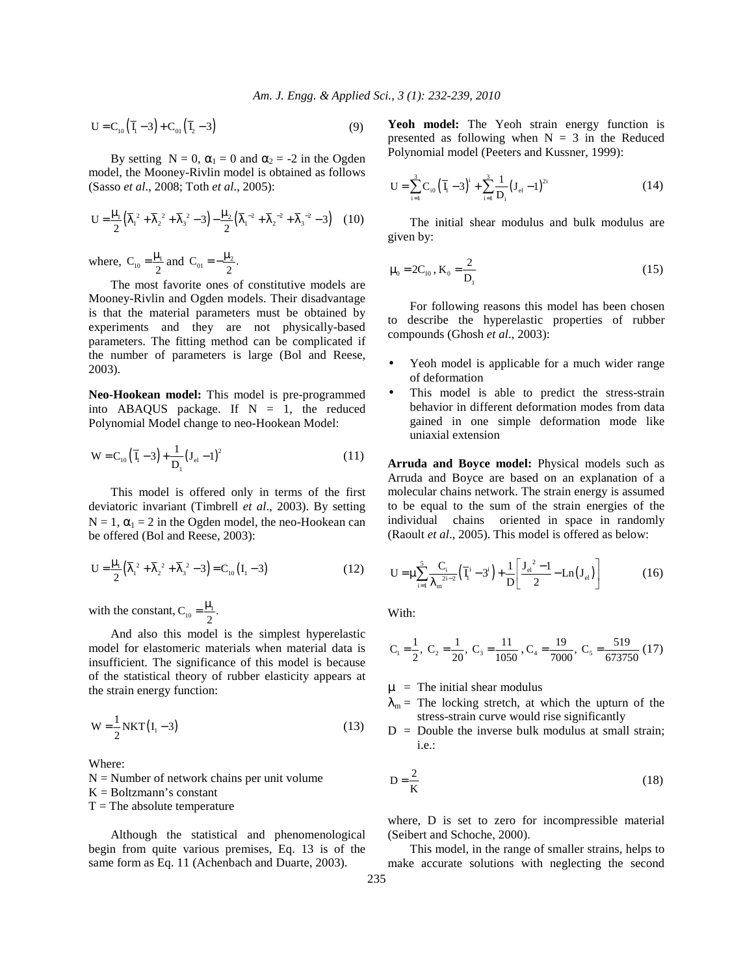$$
U = C_{10} \left( \overline{I}_1 - 3 \right) + C_{01} \left( \overline{I}_2 - 3 \right) \tag{9}
$$

By setting  $N = 0$ ,  $\alpha_1 = 0$  and  $\alpha_2 = -2$  in the Ogden model, the Mooney-Rivlin model is obtained as follows (Sasso *et al*., 2008; Toth *et al*., 2005):

$$
U = \frac{\mu_1}{2} \left( \overline{\lambda}_1^2 + \overline{\lambda}_2^2 + \overline{\lambda}_3^2 - 3 \right) - \frac{\mu_2}{2} \left( \overline{\lambda}_1^{-2} + \overline{\lambda}_2^{-2} + \overline{\lambda}_3^{-2} - 3 \right) \tag{10}
$$

where,  $C_{10} = \frac{\mu_1}{2}$  and  $C_{01} = -\frac{\mu_2}{2}$ .

 The most favorite ones of constitutive models are Mooney-Rivlin and Ogden models. Their disadvantage is that the material parameters must be obtained by experiments and they are not physically-based parameters. The fitting method can be complicated if the number of parameters is large (Bol and Reese, 2003).

**Neo-Hookean model:** This model is pre-programmed into ABAQUS package. If  $N = 1$ , the reduced Polynomial Model change to neo-Hookean Model:

$$
W = C_{10} (\bar{I}_1 - 3) + \frac{1}{D_1} (J_{el} - 1)^2
$$
 (11)

 This model is offered only in terms of the first deviatoric invariant (Timbrell *et al*., 2003). By setting  $N = 1$ ,  $\alpha_1 = 2$  in the Ogden model, the neo-Hookean can be offered (Bol and Reese, 2003):

$$
U = \frac{\mu_1}{2} (\overline{\lambda}_1^2 + \overline{\lambda}_2^2 + \overline{\lambda}_3^2 - 3) = C_{10} (I_1 - 3)
$$
 (12)

with the constant,  $C_{10} = \frac{\mu_1}{2}$ .

 And also this model is the simplest hyperelastic model for elastomeric materials when material data is insufficient. The significance of this model is because of the statistical theory of rubber elasticity appears at the strain energy function:

$$
W = \frac{1}{2} NKT(I_1 - 3)
$$
 (13)

Where:

 $N =$  Number of network chains per unit volume

 $K = Boltzmann's constant$ 

 $T =$ The absolute temperature

 Although the statistical and phenomenological begin from quite various premises, Eq. 13 is of the same form as Eq. 11 (Achenbach and Duarte, 2003).

Yeoh model: The Yeoh strain energy function is presented as following when  $N = 3$  in the Reduced Polynomial model (Peeters and Kussner, 1999):

$$
U = \sum_{i=1}^{3} C_{i0} (\overline{I}_{i} - 3)^{i} + \sum_{i=1}^{3} \frac{1}{D_{i}} (J_{el} - 1)^{2i}
$$
 (14)

 The initial shear modulus and bulk modulus are given by:

$$
\mu_0 = 2C_{10}, K_0 = \frac{2}{D_1}
$$
 (15)

 For following reasons this model has been chosen to describe the hyperelastic properties of rubber compounds (Ghosh *et al*., 2003):

- Yeoh model is applicable for a much wider range of deformation
- This model is able to predict the stress-strain behavior in different deformation modes from data gained in one simple deformation mode like uniaxial extension

**Arruda and Boyce model:** Physical models such as Arruda and Boyce are based on an explanation of a molecular chains network. The strain energy is assumed to be equal to the sum of the strain energies of the individual chains oriented in space in randomly (Raoult *et al*., 2005). This model is offered as below:

$$
U = \mu \sum_{i=1}^{5} \frac{C_i}{\lambda_m^{2i-2}} \left( \overline{I}_i^i - 3^i \right) + \frac{1}{D} \left[ \frac{J_{el}^2 - 1}{2} - Ln(J_{el}) \right]
$$
(16)

With:

$$
C_1 = \frac{1}{2}, C_2 = \frac{1}{20}, C_3 = \frac{11}{1050}, C_4 = \frac{19}{7000}, C_5 = \frac{519}{673750} (17)
$$

 $\mu$  = The initial shear modulus

- $\lambda_m$  = The locking stretch, at which the upturn of the stress-strain curve would rise significantly
- $D =$  Double the inverse bulk modulus at small strain; i.e.:

$$
D = \frac{2}{K}
$$
 (18)

where, D is set to zero for incompressible material (Seibert and Schoche, 2000).

 This model, in the range of smaller strains, helps to make accurate solutions with neglecting the second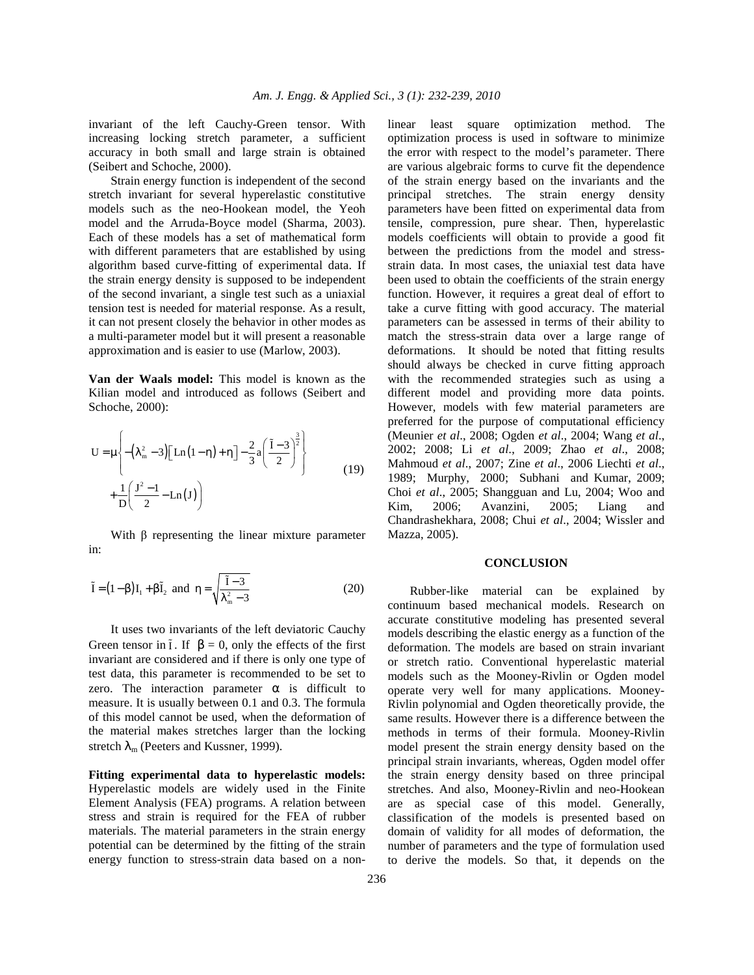invariant of the left Cauchy-Green tensor. With increasing locking stretch parameter, a sufficient accuracy in both small and large strain is obtained (Seibert and Schoche, 2000).

 Strain energy function is independent of the second stretch invariant for several hyperelastic constitutive models such as the neo-Hookean model, the Yeoh model and the Arruda-Boyce model (Sharma, 2003). Each of these models has a set of mathematical form with different parameters that are established by using algorithm based curve-fitting of experimental data. If the strain energy density is supposed to be independent of the second invariant, a single test such as a uniaxial tension test is needed for material response. As a result, it can not present closely the behavior in other modes as a multi-parameter model but it will present a reasonable approximation and is easier to use (Marlow, 2003).

**Van der Waals model:** This model is known as the Kilian model and introduced as follows (Seibert and Schoche, 2000):

$$
U = \mu \left\{ -\left(\lambda_{m}^{2} - 3\right) \left[ Ln\left(1 - \eta\right) + \eta \right] - \frac{2}{3} a \left( \frac{\tilde{I} - 3}{2} \right)^{\frac{3}{2}} \right\} + \frac{1}{D} \left( \frac{J^{2} - 1}{2} - Ln\left( J\right) \right)
$$
(19)

With  $β$  representing the linear mixture parameter in:

$$
\tilde{I} = (1 - \beta)I_1 + \beta \tilde{I}_2 \text{ and } \eta = \sqrt{\frac{\tilde{I} - 3}{\lambda_m^2 - 3}} \tag{20}
$$

 It uses two invariants of the left deviatoric Cauchy Green tensor in  $\tilde{I}$ . If  $\beta = 0$ , only the effects of the first invariant are considered and if there is only one type of test data, this parameter is recommended to be set to zero. The interaction parameter  $\alpha$  is difficult to measure. It is usually between 0.1 and 0.3. The formula of this model cannot be used, when the deformation of the material makes stretches larger than the locking stretch  $\lambda_{m}$  (Peeters and Kussner, 1999).

**Fitting experimental data to hyperelastic models:** Hyperelastic models are widely used in the Finite Element Analysis (FEA) programs. A relation between stress and strain is required for the FEA of rubber materials. The material parameters in the strain energy potential can be determined by the fitting of the strain energy function to stress-strain data based on a nonlinear least square optimization method. The optimization process is used in software to minimize the error with respect to the model's parameter. There are various algebraic forms to curve fit the dependence of the strain energy based on the invariants and the principal stretches. The strain energy density parameters have been fitted on experimental data from tensile, compression, pure shear. Then, hyperelastic models coefficients will obtain to provide a good fit between the predictions from the model and stressstrain data. In most cases, the uniaxial test data have been used to obtain the coefficients of the strain energy function. However, it requires a great deal of effort to take a curve fitting with good accuracy. The material parameters can be assessed in terms of their ability to match the stress-strain data over a large range of deformations. It should be noted that fitting results should always be checked in curve fitting approach with the recommended strategies such as using a different model and providing more data points. However, models with few material parameters are preferred for the purpose of computational efficiency (Meunier *et al*., 2008; Ogden *et al*., 2004; Wang *et al*., 2002; 2008; Li *et al*., 2009; Zhao *et al*., 2008; Mahmoud *et al*., 2007; Zine *et al*., 2006 Liechti *et al*., 1989; Murphy, 2000; Subhani and Kumar, 2009; Choi *et al*., 2005; Shangguan and Lu, 2004; Woo and Kim, 2006; Avanzini, 2005; Liang and Chandrashekhara, 2008; Chui *et al*., 2004; Wissler and Mazza, 2005).

## **CONCLUSION**

 Rubber-like material can be explained by continuum based mechanical models. Research on accurate constitutive modeling has presented several models describing the elastic energy as a function of the deformation. The models are based on strain invariant or stretch ratio. Conventional hyperelastic material models such as the Mooney-Rivlin or Ogden model operate very well for many applications. Mooney-Rivlin polynomial and Ogden theoretically provide, the same results. However there is a difference between the methods in terms of their formula. Mooney-Rivlin model present the strain energy density based on the principal strain invariants, whereas, Ogden model offer the strain energy density based on three principal stretches. And also, Mooney-Rivlin and neo-Hookean are as special case of this model. Generally, classification of the models is presented based on domain of validity for all modes of deformation, the number of parameters and the type of formulation used to derive the models. So that, it depends on the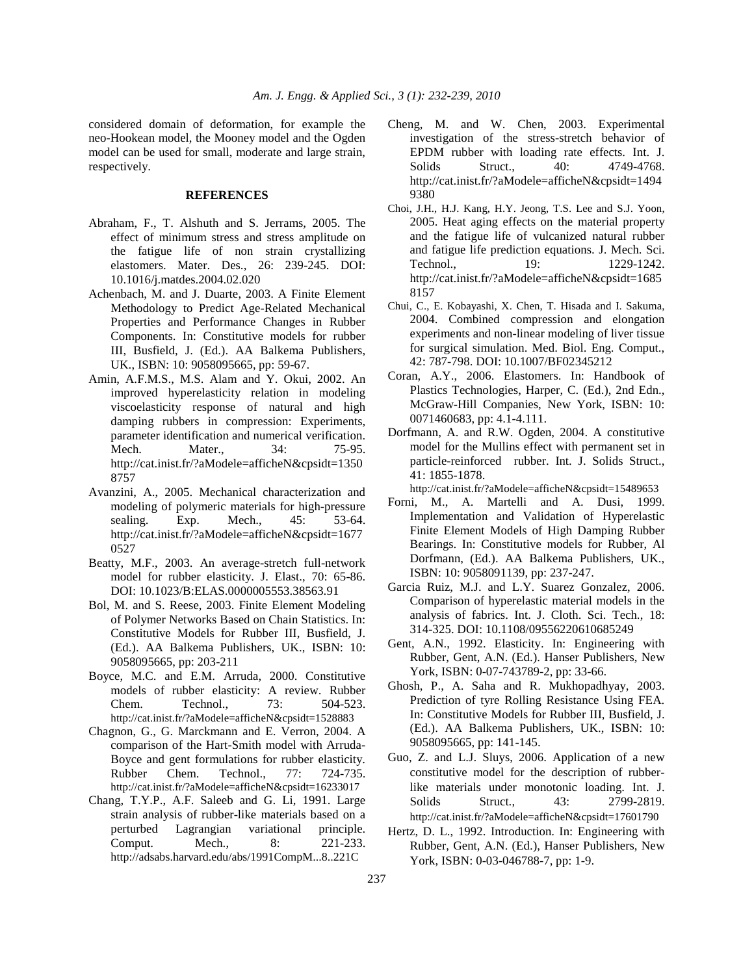considered domain of deformation, for example the neo-Hookean model, the Mooney model and the Ogden model can be used for small, moderate and large strain, respectively.

## **REFERENCES**

- Abraham, F., T. Alshuth and S. Jerrams, 2005. The effect of minimum stress and stress amplitude on the fatigue life of non strain crystallizing elastomers. Mater. Des., 26: 239-245. DOI: 10.1016/j.matdes.2004.02.020
- Achenbach, M. and J. Duarte, 2003. A Finite Element Methodology to Predict Age-Related Mechanical Properties and Performance Changes in Rubber Components. In: Constitutive models for rubber III, Busfield, J. (Ed.). AA Balkema Publishers, UK., ISBN: 10: 9058095665, pp: 59-67.
- Amin, A.F.M.S., M.S. Alam and Y. Okui, 2002. An improved hyperelasticity relation in modeling viscoelasticity response of natural and high damping rubbers in compression: Experiments, parameter identification and numerical verification. Mech. Mater.. 34: 75-95. http://cat.inist.fr/?aModele=afficheN&cpsidt=1350 8757
- Avanzini, A., 2005. Mechanical characterization and modeling of polymeric materials for high-pressure sealing. Exp. Mech., 45: 53-64. http://cat.inist.fr/?aModele=afficheN&cpsidt=1677 0527
- Beatty, M.F., 2003. An average-stretch full-network model for rubber elasticity. J. Elast., 70: 65-86. DOI: 10.1023/B:ELAS.0000005553.38563.91
- Bol, M. and S. Reese, 2003. Finite Element Modeling of Polymer Networks Based on Chain Statistics. In: Constitutive Models for Rubber III, Busfield, J. (Ed.). AA Balkema Publishers, UK., ISBN: 10: 9058095665, pp: 203-211
- Boyce, M.C. and E.M. Arruda, 2000. Constitutive models of rubber elasticity: A review. Rubber Chem. Technol., 73: 504-523. http://cat.inist.fr/?aModele=afficheN&cpsidt=1528883
- Chagnon, G., G. Marckmann and E. Verron, 2004. A comparison of the Hart-Smith model with Arruda-Boyce and gent formulations for rubber elasticity. Rubber Chem. Technol., 77: 724-735. http://cat.inist.fr/?aModele=afficheN&cpsidt=16233017
- Chang, T.Y.P., A.F. Saleeb and G. Li, 1991. Large strain analysis of rubber-like materials based on a perturbed Lagrangian variational principle. Comput. Mech., 8: 221-233. http://adsabs.harvard.edu/abs/1991CompM...8..221C
- Cheng, M. and W. Chen, 2003. Experimental investigation of the stress-stretch behavior of EPDM rubber with loading rate effects. Int. J. Solids Struct., 40: 4749-4768. http://cat.inist.fr/?aModele=afficheN&cpsidt=1494 9380
- Choi, J.H., H.J. Kang, H.Y. Jeong, T.S. Lee and S.J. Yoon, 2005. Heat aging effects on the material property and the fatigue life of vulcanized natural rubber and fatigue life prediction equations. J. Mech. Sci. Technol., 19: 1229-1242. http://cat.inist.fr/?aModele=afficheN&cpsidt=1685 8157
- Chui, C., E. Kobayashi, X. Chen, T. Hisada and I. Sakuma, 2004. Combined compression and elongation experiments and non-linear modeling of liver tissue for surgical simulation. Med. Biol. Eng. Comput., 42: 787-798. DOI: 10.1007/BF02345212
- Coran, A.Y., 2006. Elastomers. In: Handbook of Plastics Technologies, Harper, C. (Ed.), 2nd Edn., McGraw-Hill Companies, New York, ISBN: 10: 0071460683, pp: 4.1-4.111.
- Dorfmann, A. and R.W. Ogden, 2004. A constitutive model for the Mullins effect with permanent set in particle-reinforced rubber. Int. J. Solids Struct., 41: 1855-1878.

http://cat.inist.fr/?aModele=afficheN&cpsidt=15489653

- Forni, M., A. Martelli and A. Dusi, 1999. Implementation and Validation of Hyperelastic Finite Element Models of High Damping Rubber Bearings. In: Constitutive models for Rubber, Al Dorfmann, (Ed.). AA Balkema Publishers, UK., ISBN: 10: 9058091139, pp: 237-247.
- Garcia Ruiz, M.J. and L.Y. Suarez Gonzalez, 2006. Comparison of hyperelastic material models in the analysis of fabrics. Int. J. Cloth. Sci. Tech., 18: 314-325. DOI: 10.1108/09556220610685249
- Gent, A.N., 1992. Elasticity. In: Engineering with Rubber, Gent, A.N. (Ed.). Hanser Publishers, New York, ISBN: 0-07-743789-2, pp: 33-66.
- Ghosh, P., A. Saha and R. Mukhopadhyay, 2003. Prediction of tyre Rolling Resistance Using FEA. In: Constitutive Models for Rubber III, Busfield, J. (Ed.). AA Balkema Publishers, UK., ISBN: 10: 9058095665, pp: 141-145.
- Guo, Z. and L.J. Sluys, 2006. Application of a new constitutive model for the description of rubberlike materials under monotonic loading. Int. J. Solids Struct., 43: 2799-2819. http://cat.inist.fr/?aModele=afficheN&cpsidt=17601790
- Hertz, D. L., 1992. Introduction. In: Engineering with Rubber, Gent, A.N. (Ed.), Hanser Publishers, New York, ISBN: 0-03-046788-7, pp: 1-9.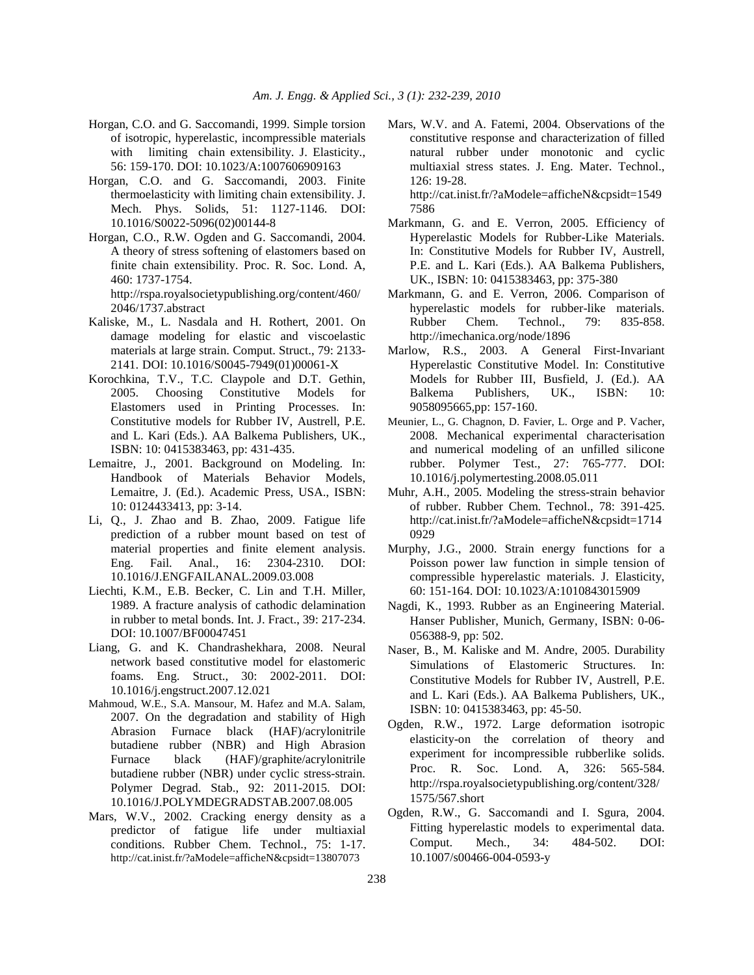- Horgan, C.O. and G. Saccomandi, 1999. Simple torsion of isotropic, hyperelastic, incompressible materials with limiting chain extensibility. J. Elasticity., 56: 159-170. DOI: 10.1023/A:1007606909163
- Horgan, C.O. and G. Saccomandi, 2003. Finite thermoelasticity with limiting chain extensibility. J. Mech. Phys. Solids, 51: 1127-1146. DOI: 10.1016/S0022-5096(02)00144-8
- Horgan, C.O., R.W. Ogden and G. Saccomandi, 2004. A theory of stress softening of elastomers based on finite chain extensibility. Proc. R. Soc. Lond. A, 460: 1737-1754.

 http://rspa.royalsocietypublishing.org/content/460/ 2046/1737.abstract

- Kaliske, M., L. Nasdala and H. Rothert, 2001. On damage modeling for elastic and viscoelastic materials at large strain. Comput. Struct., 79: 2133- 2141. DOI: 10.1016/S0045-7949(01)00061-X
- Korochkina, T.V., T.C. Claypole and D.T. Gethin, 2005. Choosing Constitutive Models for Elastomers used in Printing Processes. In: Constitutive models for Rubber IV, Austrell, P.E. and L. Kari (Eds.). AA Balkema Publishers, UK., ISBN: 10: 0415383463, pp: 431-435.
- Lemaitre, J., 2001. Background on Modeling. In: Handbook of Materials Behavior Models, Lemaitre, J. (Ed.). Academic Press, USA., ISBN: 10: 0124433413, pp: 3-14.
- Li, Q., J. Zhao and B. Zhao, 2009. Fatigue life prediction of a rubber mount based on test of material properties and finite element analysis. Eng. Fail. Anal., 16: 2304-2310. DOI: 10.1016/J.ENGFAILANAL.2009.03.008
- Liechti, K.M., E.B. Becker, C. Lin and T.H. Miller, 1989. A fracture analysis of cathodic delamination in rubber to metal bonds. Int. J. Fract., 39: 217-234. DOI: 10.1007/BF00047451
- Liang, G. and K. Chandrashekhara, 2008. Neural network based constitutive model for elastomeric foams. Eng. Struct., 30: 2002-2011. DOI: 10.1016/j.engstruct.2007.12.021
- Mahmoud, W.E., S.A. Mansour, M. Hafez and M.A. Salam, 2007. On the degradation and stability of High Abrasion Furnace black (HAF)/acrylonitrile butadiene rubber (NBR) and High Abrasion Furnace black (HAF)/graphite/acrylonitrile butadiene rubber (NBR) under cyclic stress-strain. Polymer Degrad. Stab., 92: 2011-2015. DOI: 10.1016/J.POLYMDEGRADSTAB.2007.08.005
- Mars, W.V., 2002. Cracking energy density as a predictor of fatigue life under multiaxial conditions. Rubber Chem. Technol., 75: 1-17. http://cat.inist.fr/?aModele=afficheN&cpsidt=13807073

Mars, W.V. and A. Fatemi, 2004. Observations of the constitutive response and characterization of filled natural rubber under monotonic and cyclic multiaxial stress states. J. Eng. Mater. Technol., 126: 19-28. http://cat.inist.fr/?aModele=afficheN&cpsidt=1549

7586

- Markmann, G. and E. Verron, 2005. Efficiency of Hyperelastic Models for Rubber-Like Materials. In: Constitutive Models for Rubber IV, Austrell, P.E. and L. Kari (Eds.). AA Balkema Publishers, UK., ISBN: 10: 0415383463, pp: 375-380
- Markmann, G. and E. Verron, 2006. Comparison of hyperelastic models for rubber-like materials. Rubber Chem. Technol., 79: 835-858. http://imechanica.org/node/1896
- Marlow, R.S., 2003. A General First-Invariant Hyperelastic Constitutive Model. In: Constitutive Models for Rubber III, Busfield, J. (Ed.). AA Balkema Publishers, UK., ISBN: 10: 9058095665,pp: 157-160.
- Meunier, L., G. Chagnon, D. Favier, L. Orge and P. Vacher, 2008. Mechanical experimental characterisation and numerical modeling of an unfilled silicone rubber. Polymer Test., 27: 765-777. DOI: 10.1016/j.polymertesting.2008.05.011
- Muhr, A.H., 2005. Modeling the stress-strain behavior of rubber. Rubber Chem. Technol., 78: 391-425. http://cat.inist.fr/?aModele=afficheN&cpsidt=1714 0929
- Murphy, J.G., 2000. Strain energy functions for a Poisson power law function in simple tension of compressible hyperelastic materials. J. Elasticity, 60: 151-164. DOI: 10.1023/A:1010843015909
- Nagdi, K., 1993. Rubber as an Engineering Material. Hanser Publisher, Munich, Germany, ISBN: 0-06- 056388-9, pp: 502.
- Naser, B., M. Kaliske and M. Andre, 2005. Durability Simulations of Elastomeric Structures. In: Constitutive Models for Rubber IV, Austrell, P.E. and L. Kari (Eds.). AA Balkema Publishers, UK., ISBN: 10: 0415383463, pp: 45-50.
- Ogden, R.W., 1972. Large deformation isotropic elasticity-on the correlation of theory and experiment for incompressible rubberlike solids. Proc. R. Soc. Lond. A, 326: 565-584. http://rspa.royalsocietypublishing.org/content/328/ 1575/567.short
- Ogden, R.W., G. Saccomandi and I. Sgura, 2004. Fitting hyperelastic models to experimental data. Comput. Mech., 34: 484-502. DOI: 10.1007/s00466-004-0593-y